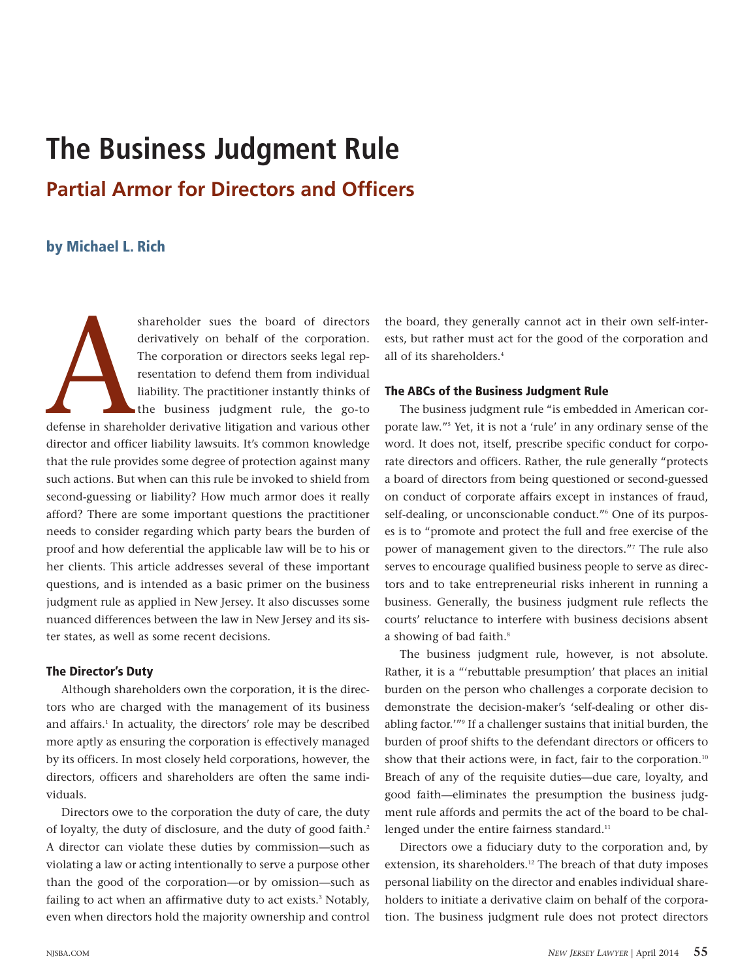# **The Business Judgment Rule Partial Armor for Directors and Officers**

# **by Michael L. Rich**

shareholder sues the board of directors<br>derivatively on behalf of the corporation.<br>The corporation or directors seeks legal rep-<br>resentation to defend them from individual<br>liability. The practitioner instantly thinks of<br>th derivatively on behalf of the corporation. The corporation or directors seeks legal representation to defend them from individual liability. The practitioner instantly thinks of the business judgment rule, the go-to defense in shareholder derivative litigation and various other director and officer liability lawsuits. It's common knowledge that the rule provides some degree of protection against many such actions. But when can this rule be invoked to shield from second-guessing or liability? How much armor does it really afford? There are some important questions the practitioner needs to consider regarding which party bears the burden of proof and how deferential the applicable law will be to his or her clients. This article addresses several of these important questions, and is intended as a basic primer on the business judgment rule as applied in New Jersey. It also discusses some nuanced differences between the law in New Jersey and its sister states, as well as some recent decisions.

### **The Director's Duty**

Although shareholders own the corporation, it is the directors who are charged with the management of its business and affairs. <sup>1</sup> In actuality, the directors' role may be described more aptly as ensuring the corporation is effectively managed by its officers. In most closely held corporations, however, the directors, officers and shareholders are often the same individuals.

Directors owe to the corporation the duty of care, the duty of loyalty, the duty of disclosure, and the duty of good faith. 2 A director can violate these duties by commission—such as violating a law or acting intentionally to serve a purpose other than the good of the corporation—or by omission—such as failing to act when an affirmative duty to act exists. <sup>3</sup> Notably, even when directors hold the majority ownership and control

the board, they generally cannot act in their own self-interests, but rather must act for the good of the corporation and all of its shareholders. 4

#### **The ABCs of the Business Judgment Rule**

The business judgment rule "is embedded in American corporate law."5 Yet, it is not a 'rule' in any ordinary sense of the word. It does not, itself, prescribe specific conduct for corporate directors and officers. Rather, the rule generally "protects a board of directors from being questioned or second-guessed on conduct of corporate affairs except in instances of fraud, self-dealing, or unconscionable conduct."<sup>6</sup> One of its purposes is to "promote and protect the full and free exercise of the power of management given to the directors."7 The rule also serves to encourage qualified business people to serve as directors and to take entrepreneurial risks inherent in running a business. Generally, the business judgment rule reflects the courts' reluctance to interfere with business decisions absent a showing of bad faith. 8

The business judgment rule, however, is not absolute. Rather, it is a "'rebuttable presumption' that places an initial burden on the person who challenges a corporate decision to demonstrate the decision-maker's 'self-dealing or other disabling factor.'"9 If a challenger sustains that initial burden, the burden of proof shifts to the defendant directors or officers to show that their actions were, in fact, fair to the corporation.<sup>10</sup> Breach of any of the requisite duties—due care, loyalty, and good faith—eliminates the presumption the business judgment rule affords and permits the act of the board to be challenged under the entire fairness standard.<sup>11</sup>

Directors owe a fiduciary duty to the corporation and, by extension, its shareholders.<sup>12</sup> The breach of that duty imposes personal liability on the director and enables individual shareholders to initiate a derivative claim on behalf of the corporation. The business judgment rule does not protect directors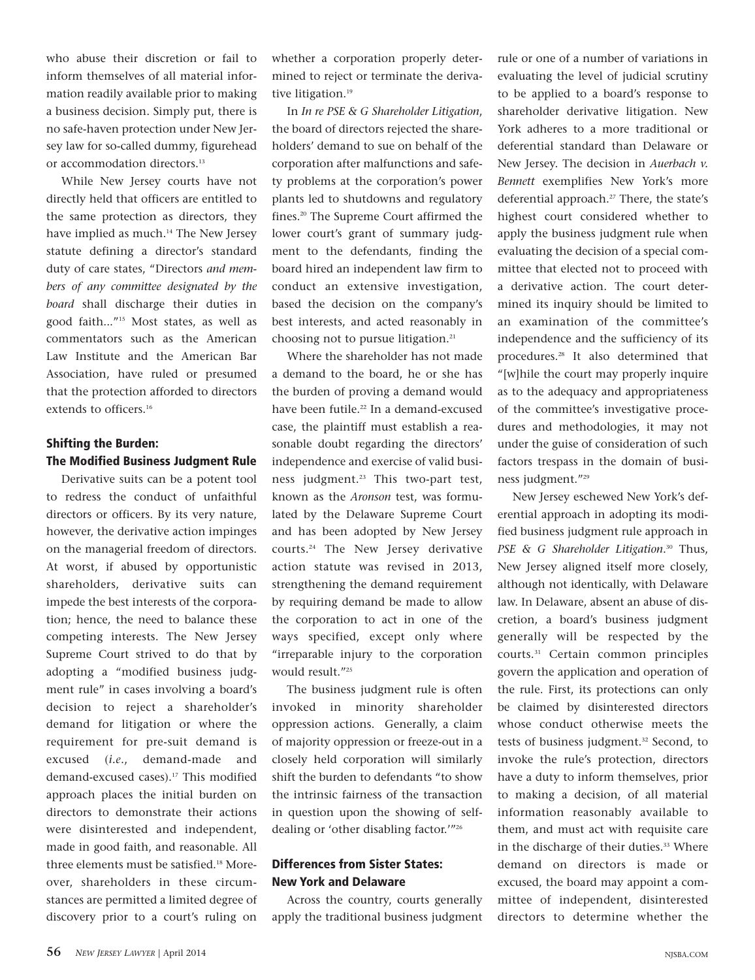who abuse their discretion or fail to inform themselves of all material information readily available prior to making a business decision. Simply put, there is no safe-haven protection under New Jersey law for so-called dummy, figurehead or accommodation directors. 13

While New Jersey courts have not directly held that officers are entitled to the same protection as directors, they have implied as much. <sup>14</sup> The New Jersey statute defining a director's standard duty of care states, "Directors *and members of any committee designated by the board* shall discharge their duties in good faith..."15 Most states, as well as commentators such as the American Law Institute and the American Bar Association, have ruled or presumed that the protection afforded to directors extends to officers. 16

# **Shifting the Burden: The Modified Business Judgment Rule**

Derivative suits can be a potent tool to redress the conduct of unfaithful directors or officers. By its very nature, however, the derivative action impinges on the managerial freedom of directors. At worst, if abused by opportunistic shareholders, derivative suits can impede the best interests of the corporation; hence, the need to balance these competing interests. The New Jersey Supreme Court strived to do that by adopting a "modified business judgment rule" in cases involving a board's decision to reject a shareholder's demand for litigation or where the requirement for pre-suit demand is excused (*i.e*., demand-made and demand-excused cases). <sup>17</sup> This modified approach places the initial burden on directors to demonstrate their actions were disinterested and independent, made in good faith, and reasonable. All three elements must be satisfied. <sup>18</sup> Moreover, shareholders in these circumstances are permitted a limited degree of discovery prior to a court's ruling on

whether a corporation properly determined to reject or terminate the derivative litigation. 19

In *In re PSE & G Shareholder Litigation*, the board of directors rejected the shareholders' demand to sue on behalf of the corporation after malfunctions and safety problems at the corporation's power plants led to shutdowns and regulatory fines. <sup>20</sup> The Supreme Court affirmed the lower court's grant of summary judgment to the defendants, finding the board hired an independent law firm to conduct an extensive investigation, based the decision on the company's best interests, and acted reasonably in choosing not to pursue litigation. 21

Where the shareholder has not made a demand to the board, he or she has the burden of proving a demand would have been futile. <sup>22</sup> In a demand-excused case, the plaintiff must establish a reasonable doubt regarding the directors' independence and exercise of valid business judgment. <sup>23</sup> This two-part test, known as the *Aronson* test, was formulated by the Delaware Supreme Court and has been adopted by New Jersey courts. <sup>24</sup> The New Jersey derivative action statute was revised in 2013, strengthening the demand requirement by requiring demand be made to allow the corporation to act in one of the ways specified, except only where "irreparable injury to the corporation would result."25

The business judgment rule is often invoked in minority shareholder oppression actions. Generally, a claim of majority oppression or freeze-out in a closely held corporation will similarly shift the burden to defendants "to show the intrinsic fairness of the transaction in question upon the showing of selfdealing or 'other disabling factor.'"26

# **Differences from Sister States: New York and Delaware**

Across the country, courts generally apply the traditional business judgment

rule or one of a number of variations in evaluating the level of judicial scrutiny to be applied to a board's response to shareholder derivative litigation. New York adheres to a more traditional or deferential standard than Delaware or New Jersey. The decision in *Auerbach v. Bennett* exemplifies New York's more deferential approach. <sup>27</sup> There, the state's highest court considered whether to apply the business judgment rule when evaluating the decision of a special committee that elected not to proceed with a derivative action. The court determined its inquiry should be limited to an examination of the committee's independence and the sufficiency of its procedures. <sup>28</sup> It also determined that "[w]hile the court may properly inquire as to the adequacy and appropriateness of the committee's investigative procedures and methodologies, it may not under the guise of consideration of such factors trespass in the domain of business judgment."29

New Jersey eschewed New York's deferential approach in adopting its modified business judgment rule approach in *PSE & G Shareholder Litigation*. <sup>30</sup> Thus, New Jersey aligned itself more closely, although not identically, with Delaware law. In Delaware, absent an abuse of discretion, a board's business judgment generally will be respected by the courts. <sup>31</sup> Certain common principles govern the application and operation of the rule. First, its protections can only be claimed by disinterested directors whose conduct otherwise meets the tests of business judgment. <sup>32</sup> Second, to invoke the rule's protection, directors have a duty to inform themselves, prior to making a decision, of all material information reasonably available to them, and must act with requisite care in the discharge of their duties. <sup>33</sup> Where demand on directors is made or excused, the board may appoint a committee of independent, disinterested directors to determine whether the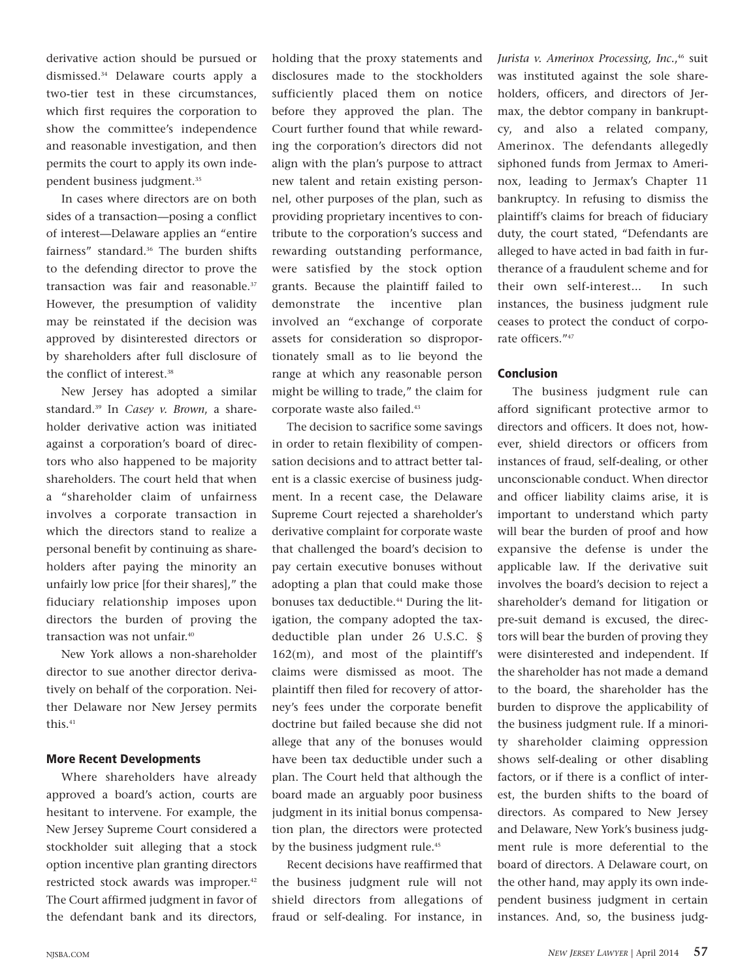derivative action should be pursued or dismissed. <sup>34</sup> Delaware courts apply a two-tier test in these circumstances, which first requires the corporation to show the committee's independence and reasonable investigation, and then permits the court to apply its own independent business judgment. 35

In cases where directors are on both sides of a transaction—posing a conflict of interest—Delaware applies an "entire fairness" standard. <sup>36</sup> The burden shifts to the defending director to prove the transaction was fair and reasonable. 37 However, the presumption of validity may be reinstated if the decision was approved by disinterested directors or by shareholders after full disclosure of the conflict of interest. 38

New Jersey has adopted a similar standard. <sup>39</sup> In *Casey v. Brown*, a shareholder derivative action was initiated against a corporation's board of directors who also happened to be majority shareholders. The court held that when a "shareholder claim of unfairness involves a corporate transaction in which the directors stand to realize a personal benefit by continuing as shareholders after paying the minority an unfairly low price [for their shares]," the fiduciary relationship imposes upon directors the burden of proving the transaction was not unfair. 40

New York allows a non-shareholder director to sue another director derivatively on behalf of the corporation. Neither Delaware nor New Jersey permits this. 41

#### **More Recent Developments**

Where shareholders have already approved a board's action, courts are hesitant to intervene. For example, the New Jersey Supreme Court considered a stockholder suit alleging that a stock option incentive plan granting directors restricted stock awards was improper. 42 The Court affirmed judgment in favor of the defendant bank and its directors,

holding that the proxy statements and disclosures made to the stockholders sufficiently placed them on notice before they approved the plan. The Court further found that while rewarding the corporation's directors did not align with the plan's purpose to attract new talent and retain existing personnel, other purposes of the plan, such as providing proprietary incentives to contribute to the corporation's success and rewarding outstanding performance, were satisfied by the stock option grants. Because the plaintiff failed to demonstrate the incentive plan involved an "exchange of corporate assets for consideration so disproportionately small as to lie beyond the range at which any reasonable person might be willing to trade," the claim for corporate waste also failed. 43

The decision to sacrifice some savings in order to retain flexibility of compensation decisions and to attract better talent is a classic exercise of business judgment. In a recent case, the Delaware Supreme Court rejected a shareholder's derivative complaint for corporate waste that challenged the board's decision to pay certain executive bonuses without adopting a plan that could make those bonuses tax deductible. <sup>44</sup> During the litigation, the company adopted the taxdeductible plan under 26 U.S.C. § 162(m), and most of the plaintiff's claims were dismissed as moot. The plaintiff then filed for recovery of attorney's fees under the corporate benefit doctrine but failed because she did not allege that any of the bonuses would have been tax deductible under such a plan. The Court held that although the board made an arguably poor business judgment in its initial bonus compensation plan, the directors were protected by the business judgment rule. 45

Recent decisions have reaffirmed that the business judgment rule will not shield directors from allegations of fraud or self-dealing. For instance, in

*Jurista v. Amerinox Processing, Inc.*, <sup>46</sup> suit was instituted against the sole shareholders, officers, and directors of Jermax, the debtor company in bankruptcy, and also a related company, Amerinox. The defendants allegedly siphoned funds from Jermax to Amerinox, leading to Jermax's Chapter 11 bankruptcy. In refusing to dismiss the plaintiff's claims for breach of fiduciary duty, the court stated, "Defendants are alleged to have acted in bad faith in furtherance of a fraudulent scheme and for their own self-interest... In such instances, the business judgment rule ceases to protect the conduct of corporate officers."47

#### **Conclusion**

The business judgment rule can afford significant protective armor to directors and officers. It does not, however, shield directors or officers from instances of fraud, self-dealing, or other unconscionable conduct. When director and officer liability claims arise, it is important to understand which party will bear the burden of proof and how expansive the defense is under the applicable law. If the derivative suit involves the board's decision to reject a shareholder's demand for litigation or pre-suit demand is excused, the directors will bear the burden of proving they were disinterested and independent. If the shareholder has not made a demand to the board, the shareholder has the burden to disprove the applicability of the business judgment rule. If a minority shareholder claiming oppression shows self-dealing or other disabling factors, or if there is a conflict of interest, the burden shifts to the board of directors. As compared to New Jersey and Delaware, New York's business judgment rule is more deferential to the board of directors. A Delaware court, on the other hand, may apply its own independent business judgment in certain instances. And, so, the business judg